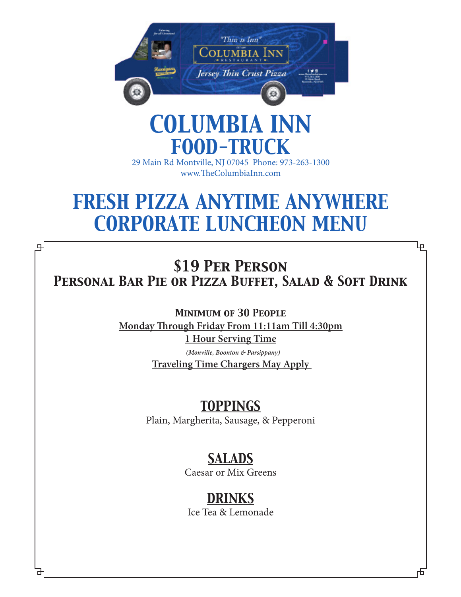

# *COLUMBIA INN FOOD-TRUCK*

29 Main Rd Montville, NJ 07045 Phone: 973-263-1300 www.TheColumbiaInn.com

# *FRESH PIZZA ANYTIME ANYWHERE CORPORATE LUNCHEON MENU*

*\$19 Per Person Personal Bar Pie or Pizza Buffet, Salad & Soft Drink*

⅊

டி

*Minimum of 30 People*  **Monday Through Friday From 11:11am Till 4:30pm 1 Hour Serving Time**

> *(Monville, Boonton & Parsippany)*  **Traveling Time Chargers May Apply**

# *TOPPINGS*

Plain, Margherita, Sausage, & Pepperoni

# *SALADS*

Caesar or Mix Greens

# *DRINKS*

Ice Tea & Lemonade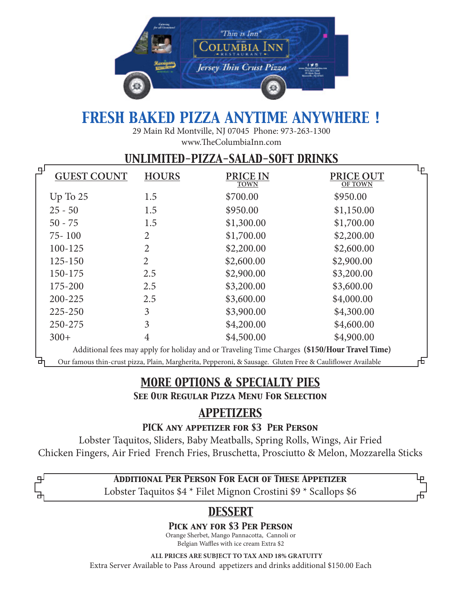

# *FRESH BAKED PIZZA ANYTIME ANYWHERE !*

29 Main Rd Montville, NJ 07045 Phone: 973-263-1300 www.TheColumbiaInn.com

## *UNLIMITED-PIZZA-SALAD-SOFT DRINKS*

| 모<br><b>GUEST COUNT</b> | <b>HOURS</b>   | PRICE IN<br><b>TOWN</b>                                                                                   | PRICE OUT<br><b>OF TOWN</b> | لبا |
|-------------------------|----------------|-----------------------------------------------------------------------------------------------------------|-----------------------------|-----|
| $Up$ To $25$            | 1.5            | \$700.00                                                                                                  | \$950.00                    |     |
| $25 - 50$               | 1.5            | \$950.00                                                                                                  | \$1,150.00                  |     |
| $50 - 75$               | 1.5            | \$1,300.00                                                                                                | \$1,700.00                  |     |
| $75 - 100$              | 2              | \$1,700.00                                                                                                | \$2,200.00                  |     |
| 100-125                 | 2              | \$2,200.00                                                                                                | \$2,600.00                  |     |
| 125-150                 | $\overline{2}$ | \$2,600.00                                                                                                | \$2,900.00                  |     |
| 150-175                 | 2.5            | \$2,900.00                                                                                                | \$3,200.00                  |     |
| 175-200                 | 2.5            | \$3,200.00                                                                                                | \$3,600.00                  |     |
| 200-225                 | 2.5            | \$3,600.00                                                                                                | \$4,000.00                  |     |
| 225-250                 | 3              | \$3,900.00                                                                                                | \$4,300.00                  |     |
| 250-275                 | 3              | \$4,200.00                                                                                                | \$4,600.00                  |     |
| $300+$                  | 4              | \$4,500.00                                                                                                | \$4,900.00                  |     |
|                         |                | Additional fees may apply for holiday and or Traveling Time Charges (\$150/Hour Travel Time)              |                             |     |
|                         |                | Our famous thin-crust pizza, Plain, Margherita, Pepperoni, & Sausage. Gluten Free & Cauliflower Available |                             | ᡈ   |

## *MORE OPTIONS & SPECIALTY PIES*

*See Our Regular Pizza Menu For Selection*

## *APPETIZERS*

*PICK any appetizer for \$3 Per Person*

Lobster Taquitos, Sliders, Baby Meatballs, Spring Rolls, Wings, Air Fried Chicken Fingers, Air Fried French Fries, Bruschetta, Prosciutto & Melon, Mozzarella Sticks

### *Additional Per Person For Each of These Appetizer*

பு

Lobster Taquitos \$4 \* Filet Mignon Crostini \$9 \* Scallops \$6

## *DESSERT*

### *Pick any for \$3 Per Person*

Orange Sherbet, Mango Pannacotta, Cannoli or Belgian Waffles with ice cream Extra \$2

 **ALL PRICES ARE SUBJECT TO TAX AND 18% GRATUITY**  Extra Server Available to Pass Around appetizers and drinks additional \$150.00 Each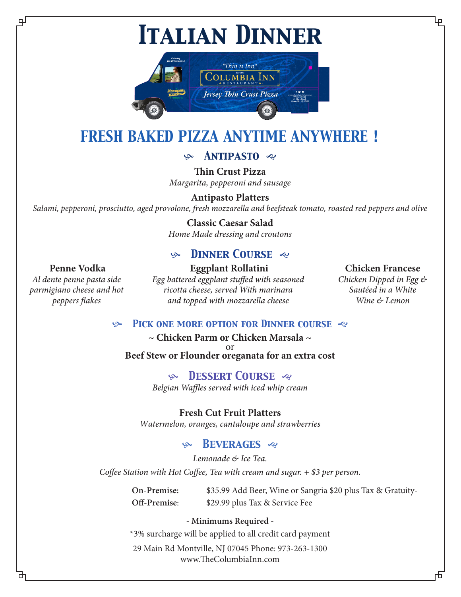*Italian Dinner*



# *FRESH BAKED PIZZA ANYTIME ANYWHERE !*

## *Antipasto*

**Thin Crust Pizza** *Margarita, pepperoni and sausage* 

#### **Antipasto Platters**

*Salami, pepperoni, prosciutto, aged provolone, fresh mozzarella and beefsteak tomato, roasted red peppers and olive*

#### **Classic Caesar Salad**

*Home Made dressing and croutons* 

## *Dinner Course*

#### **Penne Vodka**

பி

*Al dente penne pasta side parmigiano cheese and hot peppers flakes*

#### **Eggplant Rollatini** *Egg battered eggplant stuffed with seasoned ricotta cheese, served With marinara and topped with mozzarella cheese*

#### **Chicken Francese**

*Chicken Dipped in Egg & Sautéed in a White Wine & Lemon*

*Pick one more option for Dinner course* 

#### **~ Chicken Parm or Chicken Marsala ~**  or **Beef Stew or Flounder oreganata for an extra cost**

 *Dessert Course Belgian Waffles served with iced whip cream*

**Fresh Cut Fruit Platters**

*Watermelon, oranges, cantaloupe and strawberries* 

### *Beverages*

*Lemonade & Ice Tea. Coffee Station with Hot Coffee, Tea with cream and sugar. + \$3 per person.* 

> **On-Premise:** \$35.99 Add Beer, Wine or Sangria \$20 plus Tax & Gratuity-**Off-Premise**: \$29.99 plus Tax & Service Fee

#### **- Minimums Required -**

\*3% surcharge will be applied to all credit card payment

29 Main Rd Montville, NJ 07045 Phone: 973-263-1300 www.TheColumbiaInn.com